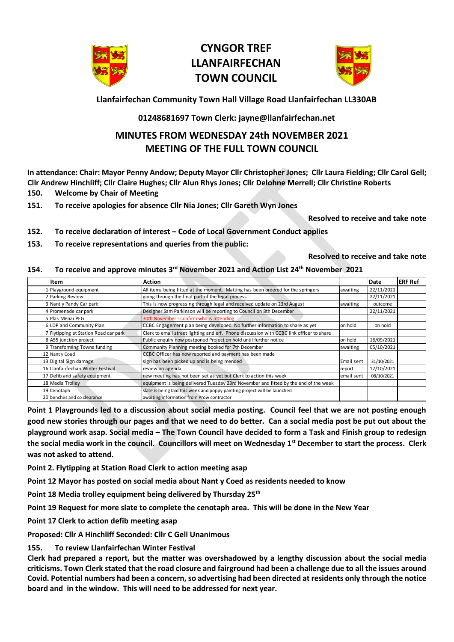

## **CYNGOR TREF LLANFAIRFECHAN TOWN COUNCIL**



**Llanfairfechan Community Town Hall Village Road Llanfairfechan LL330AB**

## **01248681697 Town Clerk: jayne@llanfairfechan.net**

## **MINUTES FROM WEDNESDAY 24th NOVEMBER 2021 MEETING OF THE FULL TOWN COUNCIL**

**In attendance: Chair: Mayor Penny Andow; Deputy Mayor Cllr Christopher Jones; Cllr Laura Fielding; Cllr Carol Gell; Cllr Andrew Hinchliff; Cllr Claire Hughes; Cllr Alun Rhys Jones; Cllr Delohne Merrell; Cllr Christine Roberts**

- **150. Welcome by Chair of Meeting**
- **151. To receive apologies for absence Cllr Nia Jones; Cllr Gareth Wyn Jones**

**Resolved to receive and take note**

- **152. To receive declaration of interest – Code of Local Government Conduct applies**
- **153. To receive representations and queries from the public:**

**Resolved to receive and take note**

## **154. To receive and approve minutes 3 rd November 2021 and Action List 24th November 2021**

| Item                                                                                             | Action                                                                                                                                                                                                                                                                                                                                                                                                                              |            | Date       | <b>ERF Ref</b> |
|--------------------------------------------------------------------------------------------------|-------------------------------------------------------------------------------------------------------------------------------------------------------------------------------------------------------------------------------------------------------------------------------------------------------------------------------------------------------------------------------------------------------------------------------------|------------|------------|----------------|
| 1 Playground equipment                                                                           | All items being fitted at the moment. Matting has been ordered for the springers                                                                                                                                                                                                                                                                                                                                                    | awaiting   | 22/11/2021 |                |
| 2 Parking Review                                                                                 | going through the final part of the legal process                                                                                                                                                                                                                                                                                                                                                                                   |            | 22/11/2021 |                |
| 3 Nant y Pandy Car park                                                                          | This is now progressing through legal and received update on 23rd August                                                                                                                                                                                                                                                                                                                                                            | awaiting   | outcome    |                |
| 4 Promenade car park                                                                             | Designer Sam Parkinson will be reporting to Council on 8th December                                                                                                                                                                                                                                                                                                                                                                 |            | 22/11/2021 |                |
| 5 Plas Menai PEG                                                                                 | 30th November - confirm who is attending                                                                                                                                                                                                                                                                                                                                                                                            |            |            |                |
| 6 LDP and Community Plan                                                                         | CCBC Engagement plan being developed. No further information to share as yet                                                                                                                                                                                                                                                                                                                                                        | on hold    | on hold    |                |
| 7 Flytipping at Station Road car park                                                            | Clerk to email street lighting and erf. Phone discussion with CCBC link officer to share                                                                                                                                                                                                                                                                                                                                            |            |            |                |
| 8 A55 junction project                                                                           | Public enquiry now postponed Project on hold until further notice                                                                                                                                                                                                                                                                                                                                                                   | on hold    | 16/09/2021 |                |
| 9 Transforming Towns funding                                                                     | Community Planning meeting booked for 7th December                                                                                                                                                                                                                                                                                                                                                                                  | awaiting   | 05/10/2021 |                |
| 12 Nant y Coed                                                                                   | CCBC Officer has now reported and payment has been made                                                                                                                                                                                                                                                                                                                                                                             |            |            |                |
| 13 Digital Sign damage                                                                           | sign has been picked up and is being mended                                                                                                                                                                                                                                                                                                                                                                                         | Email sent | 31/10/2021 |                |
| 16 Llanfairfechan Winter Festival                                                                | review on agenda                                                                                                                                                                                                                                                                                                                                                                                                                    | report     | 12/10/2021 |                |
| 17 Defib and safety equipment                                                                    | new meeting has not been set as yet but Clerk to action this week                                                                                                                                                                                                                                                                                                                                                                   | email sent | 08/10/2021 |                |
| 18 Media Trolley                                                                                 | equipment is being delivered Tuesday 23rd November and fitted by the end of the week                                                                                                                                                                                                                                                                                                                                                |            |            |                |
| 19 Cenotaph                                                                                      | slate is being laid this week and poppy painting project will be launched                                                                                                                                                                                                                                                                                                                                                           |            |            |                |
| 20 benches and co clearance                                                                      | awaiting information from Prow contractor                                                                                                                                                                                                                                                                                                                                                                                           |            |            |                |
| was not asked to attend.<br>Point 2. Flytipping at Station Road Clerk to action meeting asap     |                                                                                                                                                                                                                                                                                                                                                                                                                                     |            |            |                |
| Point 12 Mayor has posted on social media about Nant y Coed as residents needed to know          |                                                                                                                                                                                                                                                                                                                                                                                                                                     |            |            |                |
| Point 18 Media trolley equipment being delivered by Thursday 25 <sup>th</sup>                    |                                                                                                                                                                                                                                                                                                                                                                                                                                     |            |            |                |
| Point 19 Request for more slate to complete the cenotaph area. This will be done in the New Year |                                                                                                                                                                                                                                                                                                                                                                                                                                     |            |            |                |
| Point 17 Clerk to action defib meeting asap                                                      |                                                                                                                                                                                                                                                                                                                                                                                                                                     |            |            |                |
| Proposed: Cllr A Hinchliff Seconded: Cllr C Gell Unanimous                                       |                                                                                                                                                                                                                                                                                                                                                                                                                                     |            |            |                |
| To review Llanfairfechan Winter Festival<br>155.                                                 | Clerk had prepared a report, but the matter was overshadowed by a lengthy discussion about the social media<br>criticisms. Town Clerk stated that the road closure and fairground had been a challenge due to all the issues around<br>Covid. Potential numbers had been a concern, so advertising had been directed at residents only through the notice<br>board and in the window. This will need to be addressed for next year. |            |            |                |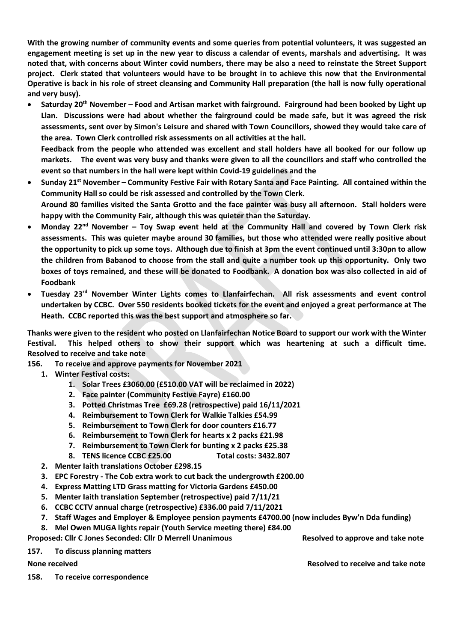**With the growing number of community events and some queries from potential volunteers, it was suggested an engagement meeting is set up in the new year to discuss a calendar of events, marshals and advertising. It was noted that, with concerns about Winter covid numbers, there may be also a need to reinstate the Street Support project. Clerk stated that volunteers would have to be brought in to achieve this now that the Environmental Operative is back in his role of street cleansing and Community Hall preparation (the hall is now fully operational and very busy).** 

• **Saturday 20th November – Food and Artisan market with fairground. Fairground had been booked by Light up Llan. Discussions were had about whether the fairground could be made safe, but it was agreed the risk assessments, sent over by Simon's Leisure and shared with Town Councillors, showed they would take care of the area. Town Clerk controlled risk assessments on all activities at the hall. Feedback from the people who attended was excellent and stall holders have all booked for our follow up markets. The event was very busy and thanks were given to all the councillors and staff who controlled the** 

**event so that numbers in the hall were kept within Covid-19 guidelines and the** 

- **Sunday 21st November – Community Festive Fair with Rotary Santa and Face Painting. All contained within the Community Hall so could be risk assessed and controlled by the Town Clerk. Around 80 families visited the Santa Grotto and the face painter was busy all afternoon. Stall holders were happy with the Community Fair, although this was quieter than the Saturday.**
- **Monday 22nd November – Toy Swap event held at the Community Hall and covered by Town Clerk risk assessments. This was quieter maybe around 30 families, but those who attended were really positive about the opportunity to pick up some toys. Although due to finish at 3pm the event continued until 3:30pn to allow the children from Babanod to choose from the stall and quite a number took up this opportunity. Only two boxes of toys remained, and these will be donated to Foodbank. A donation box was also collected in aid of Foodbank**
- **Tuesday 23rd November Winter Lights comes to Llanfairfechan. All risk assessments and event control undertaken by CCBC. Over 550 residents booked tickets for the event and enjoyed a great performance at The Heath. CCBC reported this was the best support and atmosphere so far.**

**Thanks were given to the resident who posted on Llanfairfechan Notice Board to support our work with the Winter Festival. This helped others to show their support which was heartening at such a difficult time. Resolved to receive and take note**

- **156. To receive and approve payments for November 2021**
	- **1. Winter Festival costs:**
		- **1. Solar Trees £3060.00 (£510.00 VAT will be reclaimed in 2022)**
		- **2. Face painter (Community Festive Fayre) £160.00**
		- **3. Potted Christmas Tree £69.28 (retrospective) paid 16/11/2021**
		- **4. Reimbursement to Town Clerk for Walkie Talkies £54.99**
		- **5. Reimbursement to Town Clerk for door counters £16.77**
		- **6. Reimbursement to Town Clerk for hearts x 2 packs £21.98**
		- **7. Reimbursement to Town Clerk for bunting x 2 packs £25.38**
		- **8. TENS licence CCBC £25.00 Total costs: 3432.807**
	- **2. Menter Iaith translations October £298.15**
	- **3. EPC Forestry - The Cob extra work to cut back the undergrowth £200.00**
	- **4. Express Matting LTD Grass matting for Victoria Gardens £450.00**
	- **5. Menter Iaith translation September (retrospective) paid 7/11/21**
	- **6. CCBC CCTV annual charge (retrospective) £336.00 paid 7/11/2021**
	- **7. Staff Wages and Employer & Employee pension payments £4700.00 (now includes Byw'n Dda funding)**
	- **8. Mel Owen MUGA lights repair (Youth Service meeting there) £84.00**

**Proposed: Cllr C Jones Seconded: Cllr D Merrell Unanimous Resolved to approve and take note**

**157. To discuss planning matters** 

**None received Resolved The Resolved to receive and take note** Resolved to receive and take note

**158. To receive correspondence**